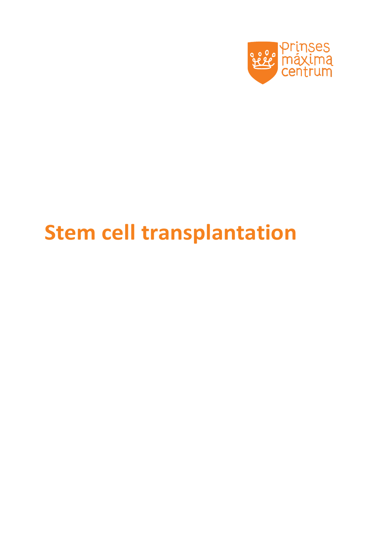

# **Stem cell transplantation**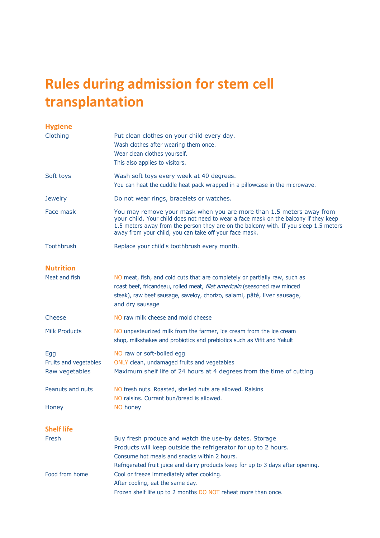## **Rules during admission for stem cell transplantation**

| <b>Hygiene</b>                                 |                                                                                                                                                                                                                                                                                                                 |
|------------------------------------------------|-----------------------------------------------------------------------------------------------------------------------------------------------------------------------------------------------------------------------------------------------------------------------------------------------------------------|
| Clothing                                       | Put clean clothes on your child every day.<br>Wash clothes after wearing them once.<br>Wear clean clothes yourself.<br>This also applies to visitors.                                                                                                                                                           |
| Soft toys                                      | Wash soft toys every week at 40 degrees.<br>You can heat the cuddle heat pack wrapped in a pillowcase in the microwave.                                                                                                                                                                                         |
| <b>Jewelry</b>                                 | Do not wear rings, bracelets or watches.                                                                                                                                                                                                                                                                        |
| Face mask                                      | You may remove your mask when you are more than 1.5 meters away from<br>your child. Your child does not need to wear a face mask on the balcony if they keep<br>1.5 meters away from the person they are on the balcony with. If you sleep 1.5 meters<br>away from your child, you can take off your face mask. |
| Toothbrush                                     | Replace your child's toothbrush every month.                                                                                                                                                                                                                                                                    |
| <b>Nutrition</b>                               |                                                                                                                                                                                                                                                                                                                 |
| Meat and fish                                  | NO meat, fish, and cold cuts that are completely or partially raw, such as<br>roast beef, fricandeau, rolled meat, filet americain (seasoned raw minced<br>steak), raw beef sausage, saveloy, chorizo, salami, pâté, liver sausage,<br>and dry sausage                                                          |
| Cheese                                         | NO raw milk cheese and mold cheese                                                                                                                                                                                                                                                                              |
| <b>Milk Products</b>                           | NO unpasteurized milk from the farmer, ice cream from the ice cream<br>shop, milkshakes and probiotics and prebiotics such as Vifit and Yakult                                                                                                                                                                  |
| Egg<br>Fruits and vegetables<br>Raw vegetables | NO raw or soft-boiled egg<br>ONLY clean, undamaged fruits and vegetables<br>Maximum shelf life of 24 hours at 4 degrees from the time of cutting                                                                                                                                                                |
| Peanuts and nuts                               | NO fresh nuts. Roasted, shelled nuts are allowed. Raisins<br>NO raisins. Currant bun/bread is allowed.                                                                                                                                                                                                          |
| Honey                                          | NO honey                                                                                                                                                                                                                                                                                                        |
| <b>Shelf life</b>                              |                                                                                                                                                                                                                                                                                                                 |
| Fresh                                          | Buy fresh produce and watch the use-by dates. Storage<br>Products will keep outside the refrigerator for up to 2 hours.<br>Consume hot meals and snacks within 2 hours.<br>Refrigerated fruit juice and dairy products keep for up to 3 days after opening.                                                     |
| Food from home                                 | Cool or freeze immediately after cooking.<br>After cooling, eat the same day.<br>Frozen shelf life up to 2 months DO NOT reheat more than once.                                                                                                                                                                 |